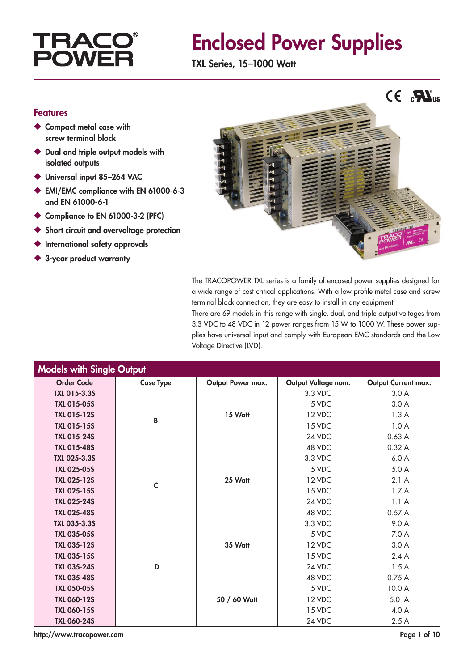# **TRACC<br>POWEF**

# Enclosed Power Supplies

TXL Series, 15–1000 Watt

### Features

- ◆ Compact metal case with screw terminal block
- ◆ Dual and triple output models with isolated outputs
- ◆ Universal input 85-264 VAC
- ◆ EMI/EMC compliance with EN 61000-6-3 and EN 61000-6-1
- ◆ Compliance to EN 61000-3-2 (PFC)
- ◆ Short circuit and overvoltage protection
- ◆ International safety approvals
- ◆ 3-year product warranty



The TRACOPOWER TXL series is a family of encased power supplies designed for a wide range of cost critical applications. With a low profile metal case and screw terminal block connection, they are easy to install in any equipment.

There are 69 models in this range with single, dual, and triple output voltages from 3.3 VDC to 48 VDC in 12 power ranges from 15 W to 1000 W. These power supplies have universal input and comply with European EMC standards and the Low Voltage Directive (LVD).

| <b>Models with Single Output</b> |                  |                   |                     |                     |
|----------------------------------|------------------|-------------------|---------------------|---------------------|
| <b>Order Code</b>                | <b>Case Type</b> | Output Power max. | Output Voltage nom. | Output Current max. |
| TXL 015-3.3S                     |                  |                   | 3.3 VDC             | 3.0A                |
| <b>TXL 015-05S</b>               |                  |                   | 5 VDC               | 3.0A                |
| <b>TXL 015-12S</b>               | B                | 15 Watt           | 12 VDC              | 1.3A                |
| <b>TXL 015-15S</b>               |                  |                   | 15 VDC              | 1.0A                |
| <b>TXL 015-24S</b>               |                  |                   | 24 VDC              | 0.63A               |
| <b>TXL 015-48S</b>               |                  |                   | 48 VDC              | 0.32A               |
| <b>TXL 025-3.3S</b>              |                  |                   | 3.3 VDC             | 6.0A                |
| <b>TXL 025-05S</b>               |                  |                   | 5 VDC               | 5.0A                |
| <b>TXL 025-12S</b>               | $\mathsf{C}$     | 25 Watt           | 12 VDC              | 2.1A                |
| <b>TXL 025-15S</b>               |                  |                   | 15 VDC              | 1.7A                |
| <b>TXL 025-24S</b>               |                  |                   | 24 VDC              | 1.1A                |
| <b>TXL 025-48S</b>               |                  |                   | 48 VDC              | 0.57A               |
| <b>TXL 035-3.3S</b>              |                  |                   | 3.3 VDC             | 9.0 A               |
| <b>TXL 035-05S</b>               |                  |                   | 5 VDC               | 7.0A                |
| <b>TXL 035-12S</b>               |                  | 35 Watt           | 12 VDC              | 3.0A                |
| <b>TXL 035-15S</b>               |                  |                   | 15 VDC              | 2.4A                |
| <b>TXL 035-24S</b>               | D                |                   | 24 VDC              | 1.5A                |
| <b>TXL 035-48S</b>               |                  |                   | 48 VDC              | 0.75A               |
| <b>TXL 050-05S</b>               |                  |                   | 5 VDC               | 10.0 A              |
| <b>TXL 060-12S</b>               |                  | 50 / 60 Watt      | 12 VDC              | 5.0 A               |
| <b>TXL 060-15S</b>               |                  |                   | 15 VDC              | 4.0 A               |
| <b>TXL 060-24S</b>               |                  |                   | 24 VDC              | 2.5A                |

http://www.tracopower.com Page 1 of 10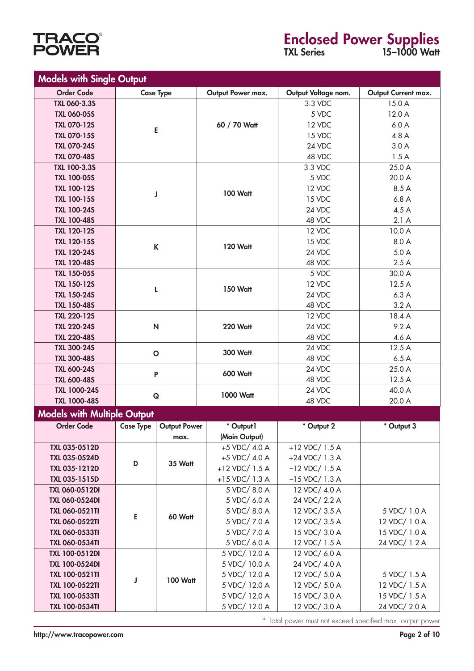

# Enclosed Power Supplies

TXL Series 15–1000 Watt

| <b>Models with Single Output</b>   |                  |                          |                   |                     |                     |
|------------------------------------|------------------|--------------------------|-------------------|---------------------|---------------------|
| <b>Order Code</b>                  |                  | <b>Case Type</b>         | Output Power max. | Output Voltage nom. | Output Current max. |
| <b>TXL 060-3.3S</b>                |                  |                          |                   | 3.3 VDC             | 15.0 A              |
| <b>TXL 060-05S</b>                 |                  |                          |                   | 5 VDC               | 12.0 A              |
| <b>TXL 070-12S</b>                 |                  |                          | 60 / 70 Watt      | 12 VDC              | 6.0A                |
| <b>TXL 070-15S</b>                 |                  | E                        |                   | 15 VDC              | 4.8 A               |
| <b>TXL 070-24S</b>                 |                  |                          |                   | 24 VDC              | 3.0A                |
| <b>TXL 070-48S</b>                 |                  |                          |                   | 48 VDC              | 1.5A                |
| <b>TXL 100-3.3S</b>                |                  |                          |                   | 3.3 VDC             | 25.0 A              |
| <b>TXL 100-05S</b>                 |                  |                          |                   | 5 VDC               | 20.0 A              |
| <b>TXL 100-12S</b>                 |                  |                          | <b>100 Watt</b>   | 12 VDC              | 8.5 A               |
| <b>TXL 100-15S</b>                 |                  | J                        |                   | 15 VDC              | 6.8A                |
| <b>TXL 100-24S</b>                 |                  |                          |                   | 24 VDC              | 4.5A                |
| <b>TXL 100-48S</b>                 |                  |                          |                   | 48 VDC              | 2.1A                |
| <b>TXL 120-12S</b>                 |                  |                          |                   | 12 VDC              | 10.0 A              |
| <b>TXL 120-15S</b>                 |                  |                          |                   | 15 VDC              | 8.0 A               |
| <b>TXL 120-24S</b>                 |                  | $\sf K$                  | <b>120 Watt</b>   | 24 VDC              | 5.0A                |
| <b>TXL 120-48S</b>                 |                  |                          |                   | 48 VDC              | 2.5A                |
| <b>TXL 150-05S</b>                 |                  |                          |                   | 5 VDC               | 30.0 A              |
| <b>TXL 150-12S</b>                 |                  |                          |                   | 12 VDC              | 12.5A               |
| <b>TXL 150-24S</b>                 |                  | L                        | <b>150 Watt</b>   | 24 VDC              | 6.3A                |
| <b>TXL 150-48S</b>                 |                  |                          |                   | 48 VDC              | 3.2A                |
| <b>TXL 220-12S</b>                 |                  |                          |                   | 12 VDC              | 18.4 A              |
| <b>TXL 220-24S</b>                 |                  | $\mathsf{N}$             | 220 Watt          | 24 VDC              | 9.2A                |
| <b>TXL 220-48S</b>                 |                  |                          |                   | 48 VDC              | 4.6A                |
| <b>TXL 300-24S</b>                 | $\circ$          |                          | <b>300 Watt</b>   | 24 VDC              | 12.5 A              |
| <b>TXL 300-48S</b>                 |                  |                          |                   | 48 VDC              | 6.5A                |
| <b>TXL 600-24S</b>                 |                  |                          |                   | 24 VDC              | 25.0 A              |
| <b>TXL 600-48S</b>                 |                  | P<br><b>600 Watt</b>     |                   | 48 VDC              | 12.5 A              |
| <b>TXL 1000-24S</b>                |                  |                          |                   | 24 VDC              | 40.0 A              |
| <b>TXL 1000-48S</b>                |                  | 1000 Watt<br>$\mathbf Q$ |                   | 48 VDC              | 20.0 A              |
| <b>Models with Multiple Output</b> |                  |                          |                   |                     |                     |
| <b>Order Code</b>                  | <b>Case Type</b> | <b>Output Power</b>      | * Output1         | * Output 2          | * Output 3          |
|                                    |                  | max.                     | (Main Output)     |                     |                     |
| TXL 035-0512D                      |                  |                          | +5 VDC/ 4.0 A     | $+12$ VDC/ 1.5 A    |                     |
| TXL 035-0524D                      |                  |                          | +5 VDC/ 4.0 A     | $+24$ VDC/ 1.3 A    |                     |
| TXL 035-1212D                      | D                | 35 Watt                  | +12 VDC/ 1.5 A    | $-12$ VDC/ $1.5$ A  |                     |
| TXL 035-1515D                      |                  |                          | $+15$ VDC/ 1.3 A  | $-15$ VDC/ 1.3 A    |                     |
| <b>TXL 060-0512DI</b>              |                  |                          | 5 VDC/8.0 A       | 12 VDC/ 4.0 A       |                     |
| <b>TXL 060-0524DI</b>              |                  |                          | 5 VDC/ 6.0 A      | 24 VDC/ 2.2 A       |                     |
| <b>TXL 060-0521TI</b>              |                  |                          | 5 VDC/8.0 A       | 12 VDC/ 3.5 A       | 5 VDC/ 1.0 A        |
| <b>TXL 060-0522TI</b>              | E                | 60 Watt                  | 5 VDC/7.0 A       | 12 VDC/ 3.5 A       | 12 VDC/ 1.0 A       |
| <b>TXL 060-0533TI</b>              |                  |                          | 5 VDC/7.0 A       | 15 VDC/ 3.0 A       | 15 VDC/ 1.0 A       |
| <b>TXL 060-0534TI</b>              |                  |                          | 5 VDC/ 6.0 A      | 12 VDC/ 1.5 A       | 24 VDC/ 1.2 A       |
| <b>TXL 100-0512DI</b>              |                  |                          | 5 VDC/ 12.0 A     | 12 VDC/ 6.0 A       |                     |
| <b>TXL 100-0524DI</b>              |                  |                          | 5 VDC/ 10.0 A     | 24 VDC/ 4.0 A       |                     |
| <b>TXL 100-0521TI</b>              |                  |                          | 5 VDC/ 12.0 A     | 12 VDC/ 5.0 A       | 5 VDC/ 1.5 A        |
| <b>TXL 100-0522TI</b>              | J                | <b>100 Watt</b>          | 5 VDC/ 12.0 A     | 12 VDC/ 5.0 A       | 12 VDC/ 1.5 A       |
| <b>TXL 100-0533TI</b>              |                  |                          | 5 VDC/ 12.0 A     | 15 VDC/ 3.0 A       | 15 VDC/ 1.5 A       |
| <b>TXL 100-0534TI</b>              |                  |                          | 5 VDC/ 12.0 A     | 12 VDC/ 3.0 A       | 24 VDC/ 2.0 A       |

\* Total power must not exceed specified max. output power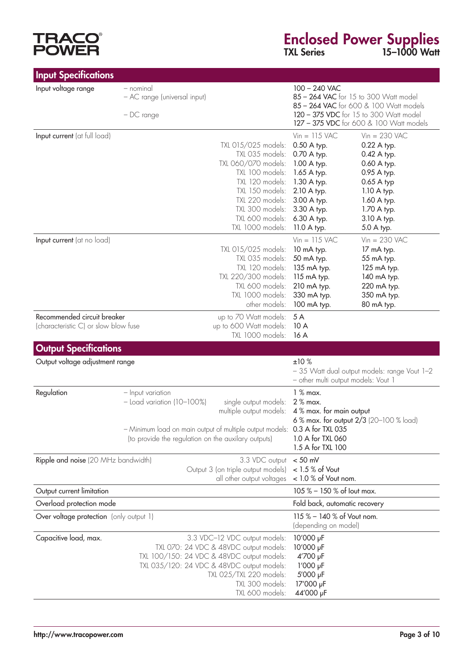# **TRACO®**<br>POWER

# Enclosed Power Supplies TXL Series 15–1000 Watt

| <b>Input Specifications</b>                                         |                                                          |                                                                                                                                                                                                     |                                                                                                                                                                       |                                                                                                                                                                      |
|---------------------------------------------------------------------|----------------------------------------------------------|-----------------------------------------------------------------------------------------------------------------------------------------------------------------------------------------------------|-----------------------------------------------------------------------------------------------------------------------------------------------------------------------|----------------------------------------------------------------------------------------------------------------------------------------------------------------------|
| Input voltage range                                                 | - nominal<br>- AC range (universal input)<br>$-DC$ range |                                                                                                                                                                                                     | 100 - 240 VAC                                                                                                                                                         | 85 - 264 VAC for 15 to 300 Watt model<br>85 - 264 VAC for 600 & 100 Watt models<br>120 - 375 VDC for 15 to 300 Watt model<br>127 - 375 VDC for 600 & 100 Watt models |
| Input current (at full load)                                        |                                                          | TXL 015/025 models:<br>TXL 035 models:<br>TXL 060/070 models:<br>TXL 100 models:<br>TXL 120 models:<br>TXL 150 models:<br>TXL 220 models:<br>TXL 300 models:<br>TXL 600 models:<br>TXL 1000 models: | $Vin = 115$ VAC<br>0.50 A typ.<br>0.70 A typ.<br>1.00 A typ.<br>1.65 A typ.<br>1.30 A typ.<br>2.10 A typ.<br>3.00 A typ.<br>3.30 A typ.<br>6.30 A typ.<br>11.0 A typ. | $Vin = 230$ VAC<br>0.22 A typ.<br>0.42 A typ.<br>0.60 A typ.<br>0.95 A typ.<br>0.65 A typ<br>1.10 A typ.<br>1.60 A typ.<br>1.70 A typ.<br>3.10 A typ.<br>5.0 A typ.  |
| Input current (at no load)                                          |                                                          | TXL 015/025 models:<br>TXL 035 models:<br>TXL 120 models:<br>TXL 220/300 models:<br>TXL 600 models:<br>TXL 1000 models:<br>other models:                                                            | $Vin = 115$ VAC<br>10 mA typ.<br>50 mA typ.<br>135 mA typ.<br>115 mA typ.<br>210 mA typ.<br>330 mA typ.<br>100 mA typ.                                                | $Vin = 230$ VAC<br>17 mA typ.<br>55 mA typ.<br>125 mA typ.<br>140 mA typ.<br>220 mA typ.<br>350 mA typ.<br>80 mA typ.                                                |
| Recommended circuit breaker<br>(characteristic C) or slow blow fuse |                                                          | up to 70 Watt models:<br>up to 600 Watt models:<br>TXL 1000 models:                                                                                                                                 | 5 A<br>10A<br>16A                                                                                                                                                     |                                                                                                                                                                      |
| <b>Output Specifications</b>                                        |                                                          |                                                                                                                                                                                                     |                                                                                                                                                                       |                                                                                                                                                                      |
| Output voltage adjustment range                                     |                                                          |                                                                                                                                                                                                     | ±10%<br>- other multi output models: Vout 1                                                                                                                           | - 35 Watt dual output models: range Vout 1-2                                                                                                                         |
| Regulation                                                          | - Input variation<br>$-$ Load variation (10-100%)        | single output models:<br>multiple output models: 4% max. for main output                                                                                                                            | $1%$ max.<br>$2%$ max.                                                                                                                                                |                                                                                                                                                                      |

|                                         | - Minimum load on main output of multiple output models: 0.3 A for TXL 035<br>(to provide the regulation on the auxilary outputs) | 6 % max. for output $2/3$ (20-100 % load)<br>1.0 A for TXL 060<br>1.5 A for TXL 100 |
|-----------------------------------------|-----------------------------------------------------------------------------------------------------------------------------------|-------------------------------------------------------------------------------------|
| Ripple and noise (20 MHz bandwidth)     | 3.3 VDC output $<$ 50 mV<br>Output 3 (on triple output models) < 1.5 % of Vout                                                    |                                                                                     |
|                                         | all other output voltages $\leq$ 1.0 % of Vout nom.                                                                               |                                                                                     |
| Output current limitation               |                                                                                                                                   | 105 % - 150 % of lout max.                                                          |
| Overload protection mode                |                                                                                                                                   | Fold back, automatic recovery                                                       |
| Over voltage protection (only output 1) |                                                                                                                                   | 115 % - 140 % of Vout nom.<br>(depending on model)                                  |
| Capacitive load, max.                   | 3.3 VDC-12 VDC output models:                                                                                                     | 10'000 µF                                                                           |
|                                         | TXL 070: 24 VDC & 48VDC output models:<br>TXL 100/150: 24 VDC & 48VDC output models:                                              | 10'000 µF<br>4'700 µF                                                               |
|                                         | TXL 035/120: 24 VDC & 48VDC output models:                                                                                        | $1'000 \text{ pF}$                                                                  |
|                                         | TXL 025/TXL 220 models:<br>TXL 300 models:                                                                                        | 5'000 µF<br>17'000 µF                                                               |
|                                         | TXL 600 models:                                                                                                                   | 44'000 µF                                                                           |

 $\overline{\phantom{0}}$  $\overline{\phantom{0}}$ ÷.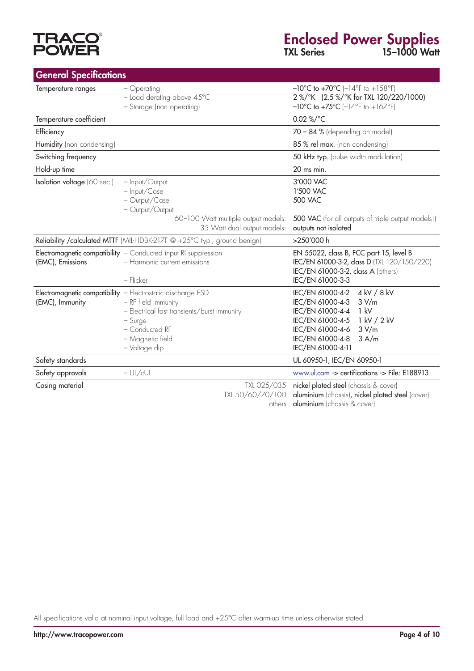# **TRACO<sup>®</sup>**<br>POWER

| <b>General Specifications</b> |                                                                                                                                                                                                       |                                                                                                                                                                                                            |
|-------------------------------|-------------------------------------------------------------------------------------------------------------------------------------------------------------------------------------------------------|------------------------------------------------------------------------------------------------------------------------------------------------------------------------------------------------------------|
| Temperature ranges            | - Operating<br>$-$ Load derating above $45^{\circ}$ C<br>- Storage (non operating)                                                                                                                    | $-10^{\circ}$ C to $+70^{\circ}$ C ( $-14^{\circ}$ F to $+158^{\circ}$ F)<br>2 %/°K (2.5 %/°K for TXL 120/220/1000)<br>$-10^{\circ}$ C to $+75^{\circ}$ C ( $-14^{\circ}$ F to $+167^{\circ}$ F)           |
| Temperature coefficient       |                                                                                                                                                                                                       | 0.02 %/°C                                                                                                                                                                                                  |
| Efficiency                    |                                                                                                                                                                                                       | $70 - 84$ % (depending on model)                                                                                                                                                                           |
| Humidity (non condensing)     |                                                                                                                                                                                                       | 85 % rel max. (non condensing)                                                                                                                                                                             |
| Switching frequency           |                                                                                                                                                                                                       | 50 kHz typ. (pulse width modulation)                                                                                                                                                                       |
| Hold-up time                  |                                                                                                                                                                                                       | 20 ms min.                                                                                                                                                                                                 |
| Isolation voltage (60 sec.)   | - Input/Output<br>- Input/Case<br>- Output/Case<br>- Output/Output<br>60-100 Watt multiple output models:                                                                                             | 3'000 VAC<br>1'500 VAC<br><b>500 VAC</b><br>500 VAC (for all outputs of triple output models!)                                                                                                             |
|                               | 35 Watt dual output models:                                                                                                                                                                           | outputs not isolated                                                                                                                                                                                       |
|                               | Reliability / calculated MTTF (MIL-HDBK-217F @ +25°C typ., ground benign)                                                                                                                             | >250'000 h                                                                                                                                                                                                 |
| (EMC), Emissions              | Electromagnetic compatibility - Conducted input RI suppression<br>- Harmonic current emissions<br>- Flicker                                                                                           | EN 55022, class B, FCC part 15, level B<br>IEC/EN 61000-3-2, class D (TXL 120/150/220)<br>IEC/EN 61000-3-2, class A (others)<br>IEC/EN 61000-3-3                                                           |
| (EMC), Immunity               | Electromagnetic compatibility - Electrostatic discharge ESD<br>- RF field immunity<br>- Electrical fast transients/burst immunity<br>$-$ Surge<br>- Conducted RF<br>- Magnetic field<br>- Voltage dip | 4 kV / 8 kV<br>IEC/EN 61000-4-2<br>IEC/EN 61000-4-3<br>3 V/m<br>IEC/EN 61000-4-4<br>1 kV<br>1 kV / 2 kV<br>IEC/EN 61000-4-5<br>IEC/EN 61000-4-6<br>3 V/m<br>IEC/EN 61000-4-8<br>3 A/m<br>IEC/EN 61000-4-11 |
| Safety standards              |                                                                                                                                                                                                       | UL 60950-1, IEC/EN 60950-1                                                                                                                                                                                 |
| Safety approvals              | $-UL/cUL$                                                                                                                                                                                             | www.ul.com -> certifications -> File: E188913                                                                                                                                                              |
| Casing material               | TXL 025/035<br>TXL 50/60/70/100<br>others                                                                                                                                                             | nickel plated steel (chassis & cover)<br>aluminium (chassis), nickel plated steel (cover)<br>aluminium (chassis & cover)                                                                                   |

All specifications valid at nominal input voltage, full load and +25°C after warm-up time unless otherwise stated.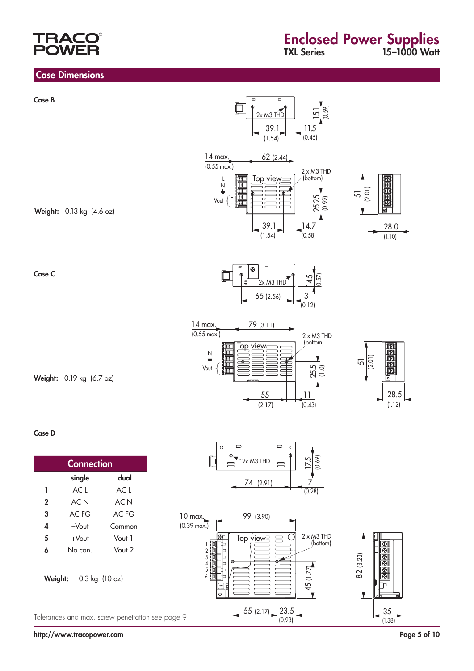# RA

# Enclosed Power Supplies TXL Series 15–1000 Watt

#### Case Dimensions

Case B

Case C

Case D



55 (2.17) 23.5

(0.93)

Tolerances and max. screw penetration see page 9

http://www.tracopower.com Page 5 of 10

35 (1.38)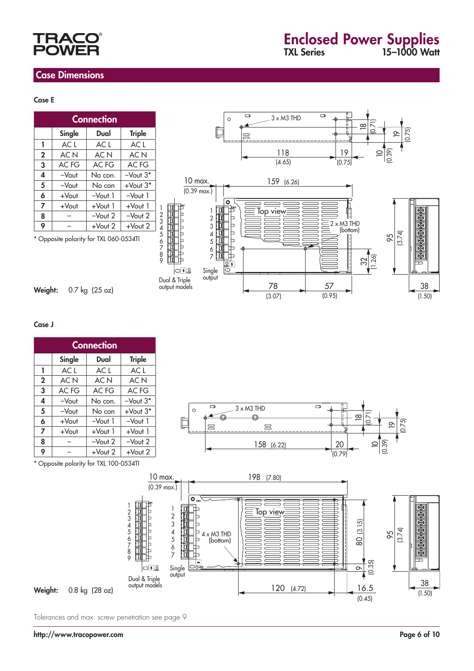# **TRAC** OV

## Case Dimensions

#### Case E

| <b>Connection</b> |          |            |               |  |
|-------------------|----------|------------|---------------|--|
|                   | Single   | Dual       | <b>Triple</b> |  |
| L                 | ACL      | ACL        | ACL           |  |
| $\mathbf{2}$      | AC N     | AC N       | AC N          |  |
| 3                 | AC FG    | AC FG      | AC FG         |  |
| 4                 | $-V$ out | No con.    | $-V$ out $3*$ |  |
| 5                 | $-V$ out | No con     | $+$ Vout $3*$ |  |
| 6                 | +Vout    | $-Vout1$   | $-Vout1$      |  |
| 7                 | +Vout    | $+$ Vout 1 | $+$ Vout 1    |  |
| 8                 |          | $-Vout 2$  | $-Vout 2$     |  |
| 9                 |          | $+$ Vout 2 | $+$ Vout 2    |  |



Weight: 0.7 kg (25 oz)



#### Case J

| <b>Connection</b> |          |                 |                 |  |
|-------------------|----------|-----------------|-----------------|--|
|                   | Single   | Dual            | <b>Triple</b>   |  |
| ı                 | ACL      | ACL             | ACL             |  |
| $\mathbf{2}$      | AC N     | AC <sub>N</sub> | AC <sub>N</sub> |  |
| 3                 | AC FG    | AC FG           | AC FG           |  |
| 4                 | $-V$ out | No con.         | $-Vout 3*$      |  |
| 5                 | $-V$ out | No con          | $+$ Vout $3*$   |  |
| 6                 | $+$ Vout | $-V$ out 1      | $-Vout1$        |  |
| 7                 | +Vout    | +Vout 1         | $+$ Vout 1      |  |
| 8                 |          | $-V$ out $2$    | $-V$ out 2      |  |
| 9                 |          | $+$ Vout 2      | $+$ Vout 2      |  |



\* Opposite polarity for TXL 100-0534TI



Tolerances and max. screw penetration see page 9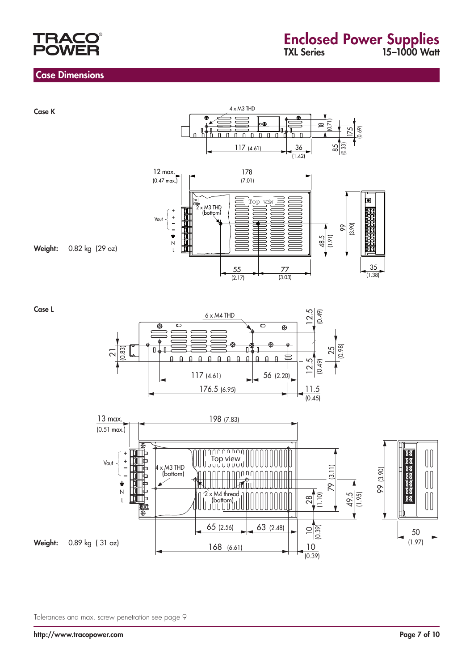

### Case Dimensions



Case L





Tolerances and max. screw penetration see page 9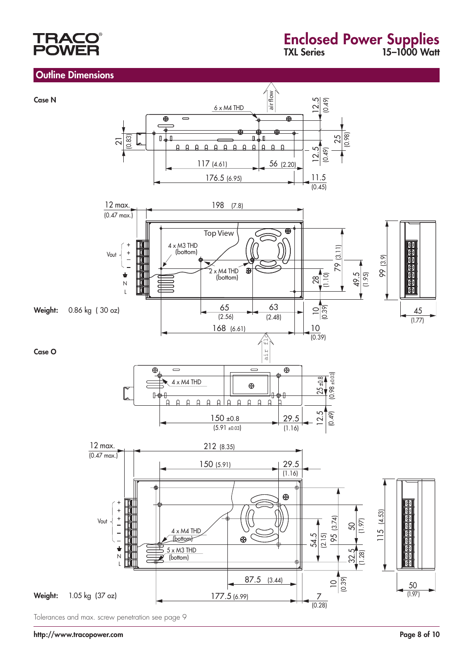# TRACC **OW**

### **Outline Dimensions**



Tolerances and max. screw penetration see page 9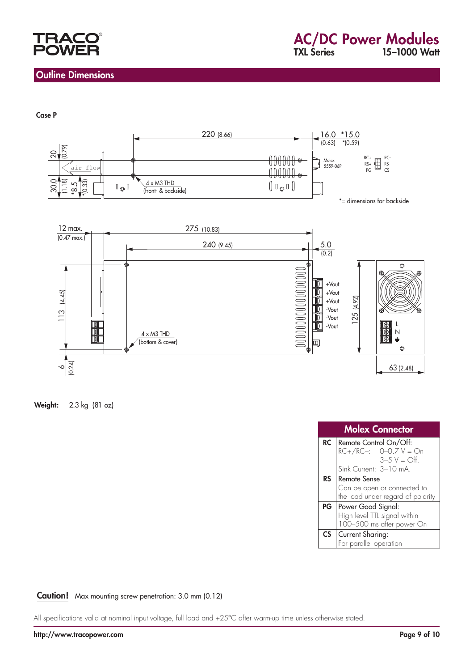

### Outline Dimensions

#### Case P



Weight: 2.3 kg (81 oz)

|                 | <b>Molex Connector</b>                            |
|-----------------|---------------------------------------------------|
| <b>RC</b>       | Remote Control On/Off:<br>$RC+/RC-: O-0.7 V = On$ |
|                 | $3 - 5$ V = Off.                                  |
|                 | Sink Current: 3-10 mA.                            |
| <b>RS</b>       | Remote Sense                                      |
|                 | Can be open or connected to                       |
|                 | the load under regard of polarity                 |
| PG              | Power Good Signal:                                |
|                 | High level TTL signal within                      |
|                 | 100-500 ms after power On                         |
| $\mathsf{CS}^-$ | Current Sharing:                                  |
|                 | For parallel operation                            |

#### Caution! Max mounting screw penetration: 3.0 mm (0.12)

All specifications valid at nominal input voltage, full load and +25°C after warm-up time unless otherwise stated.